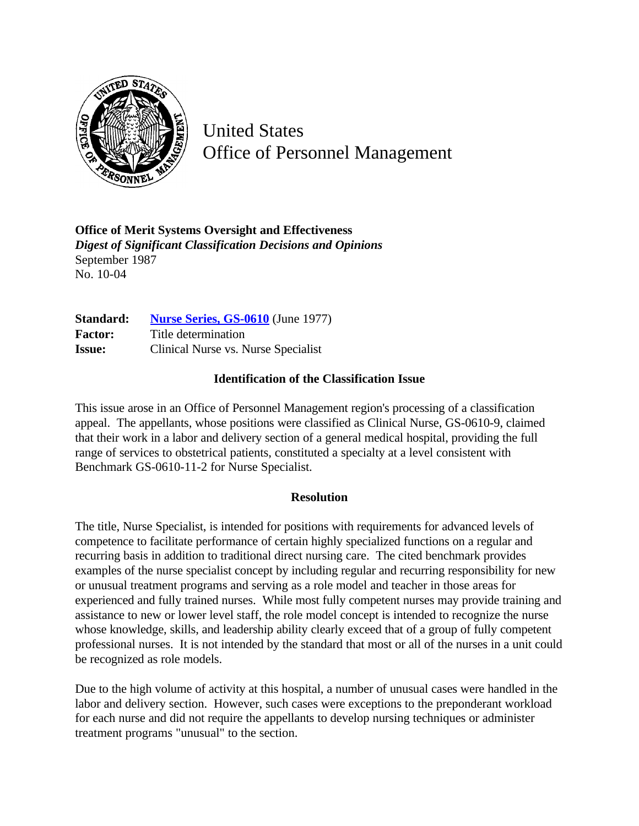

United States Office of Personnel Management

**Office of Merit Systems Oversight and Effectiveness** *Digest of Significant Classification Decisions and Opinions* September 1987 No. 10-04

| Standard:      | <b>Nurse Series, GS-0610</b> (June 1977) |
|----------------|------------------------------------------|
| <b>Factor:</b> | Title determination                      |
| <b>Issue:</b>  | Clinical Nurse vs. Nurse Specialist      |

## **Identification of the Classification Issue**

This issue arose in an Office of Personnel Management region's processing of a classification appeal. The appellants, whose positions were classified as Clinical Nurse, GS-0610-9, claimed that their work in a labor and delivery section of a general medical hospital, providing the full range of services to obstetrical patients, constituted a specialty at a level consistent with Benchmark GS-0610-11-2 for Nurse Specialist.

## **Resolution**

The title, Nurse Specialist, is intended for positions with requirements for advanced levels of competence to facilitate performance of certain highly specialized functions on a regular and recurring basis in addition to traditional direct nursing care. The cited benchmark provides examples of the nurse specialist concept by including regular and recurring responsibility for new or unusual treatment programs and serving as a role model and teacher in those areas for experienced and fully trained nurses. While most fully competent nurses may provide training and assistance to new or lower level staff, the role model concept is intended to recognize the nurse whose knowledge, skills, and leadership ability clearly exceed that of a group of fully competent professional nurses. It is not intended by the standard that most or all of the nurses in a unit could be recognized as role models.

Due to the high volume of activity at this hospital, a number of unusual cases were handled in the labor and delivery section. However, such cases were exceptions to the preponderant workload for each nurse and did not require the appellants to develop nursing techniques or administer treatment programs "unusual" to the section.